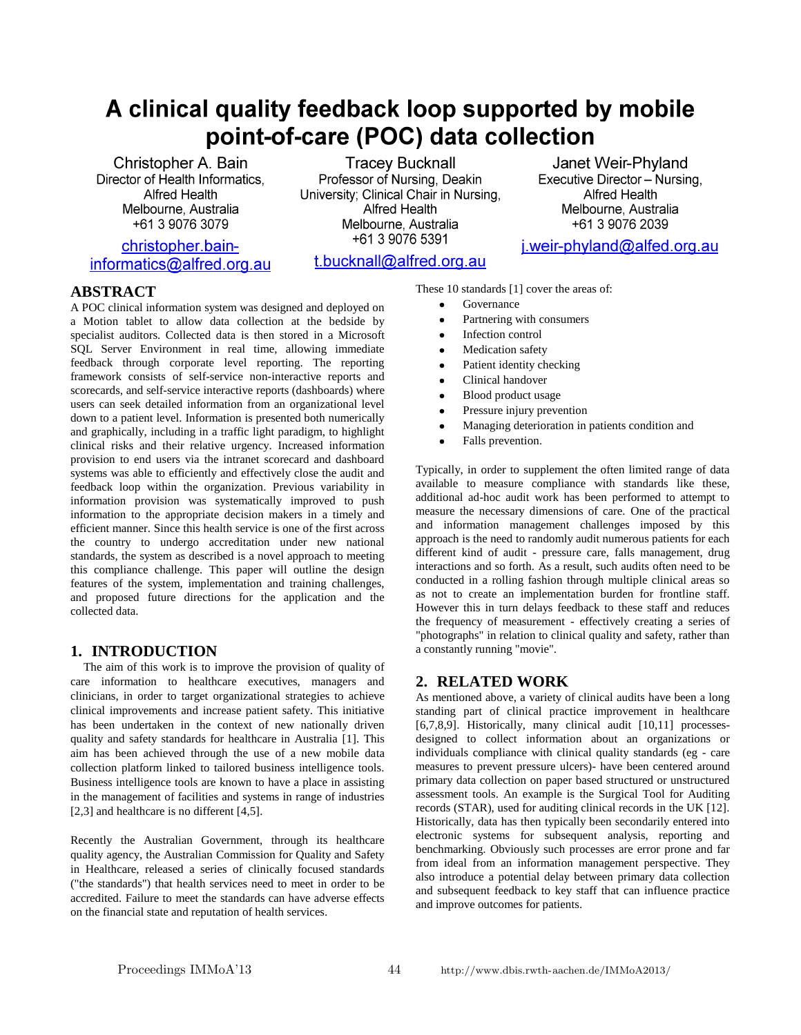# A clinical quality feedback loop supported by mobile point-of-care (POC) data collection

Christopher A. Bain Director of Health Informatics. **Alfred Health** Melbourne, Australia +61 3 9076 3079

christopher.baininformatics@alfred.org.au

**Tracey Bucknall** Professor of Nursing, Deakin University; Clinical Chair in Nursing, Alfred Health Melbourne, Australia +61 3 9076 5391

t.bucknall@alfred.org.au

Janet Weir-Phyland Executive Director - Nursing. **Alfred Health** Melbourne, Australia +61 3 9076 2039

j.weir-phyland@alfed.org.au

# **ABSTRACT**

A POC clinical information system was designed and deployed on a Motion tablet to allow data collection at the bedside by specialist auditors. Collected data is then stored in a Microsoft SQL Server Environment in real time, allowing immediate feedback through corporate level reporting. The reporting framework consists of self-service non-interactive reports and scorecards, and self-service interactive reports (dashboards) where users can seek detailed information from an organizational level down to a patient level. Information is presented both numerically and graphically, including in a traffic light paradigm, to highlight clinical risks and their relative urgency. Increased information provision to end users via the intranet scorecard and dashboard systems was able to efficiently and effectively close the audit and feedback loop within the organization. Previous variability in information provision was systematically improved to push information to the appropriate decision makers in a timely and efficient manner. Since this health service is one of the first across the country to undergo accreditation under new national standards, the system as described is a novel approach to meeting this compliance challenge. This paper will outline the design features of the system, implementation and training challenges, and proposed future directions for the application and the collected data.

## **1. INTRODUCTION**

The aim of this work is to improve the provision of quality of care information to healthcare executives, managers and clinicians, in order to target organizational strategies to achieve clinical improvements and increase patient safety. This initiative has been undertaken in the context of new nationally driven quality and safety standards for healthcare in Australia [1]. This aim has been achieved through the use of a new mobile data collection platform linked to tailored business intelligence tools. Business intelligence tools are known to have a place in assisting in the management of facilities and systems in range of industries [2,3] and healthcare is no different [4,5].

Recently the Australian Government, through its healthcare quality agency, the Australian Commission for Quality and Safety in Healthcare, released a series of clinically focused standards ("the standards") that health services need to meet in order to be accredited. Failure to meet the standards can have adverse effects on the financial state and reputation of health services.

These 10 standards [1] cover the areas of:

- Governance
- Partnering with consumers
- Infection control
- Medication safety
- Patient identity checking  $\bullet$
- $\bullet$ Clinical handover
- Blood product usage
- Pressure injury prevention
- Managing deterioration in patients condition and
- Falls prevention.

Typically, in order to supplement the often limited range of data available to measure compliance with standards like these, additional ad-hoc audit work has been performed to attempt to measure the necessary dimensions of care. One of the practical and information management challenges imposed by this approach is the need to randomly audit numerous patients for each different kind of audit - pressure care, falls management, drug interactions and so forth. As a result, such audits often need to be conducted in a rolling fashion through multiple clinical areas so as not to create an implementation burden for frontline staff. However this in turn delays feedback to these staff and reduces the frequency of measurement - effectively creating a series of "photographs" in relation to clinical quality and safety, rather than a constantly running "movie".

# **2. RELATED WORK**

As mentioned above, a variety of clinical audits have been a long standing part of clinical practice improvement in healthcare [6,7,8,9]. Historically, many clinical audit [10,11] processesdesigned to collect information about an organizations or individuals compliance with clinical quality standards (eg - care measures to prevent pressure ulcers)- have been centered around primary data collection on paper based structured or unstructured assessment tools. An example is the Surgical Tool for Auditing records (STAR), used for auditing clinical records in the UK [12]. Historically, data has then typically been secondarily entered into electronic systems for subsequent analysis, reporting and benchmarking. Obviously such processes are error prone and far from ideal from an information management perspective. They also introduce a potential delay between primary data collection and subsequent feedback to key staff that can influence practice and improve outcomes for patients.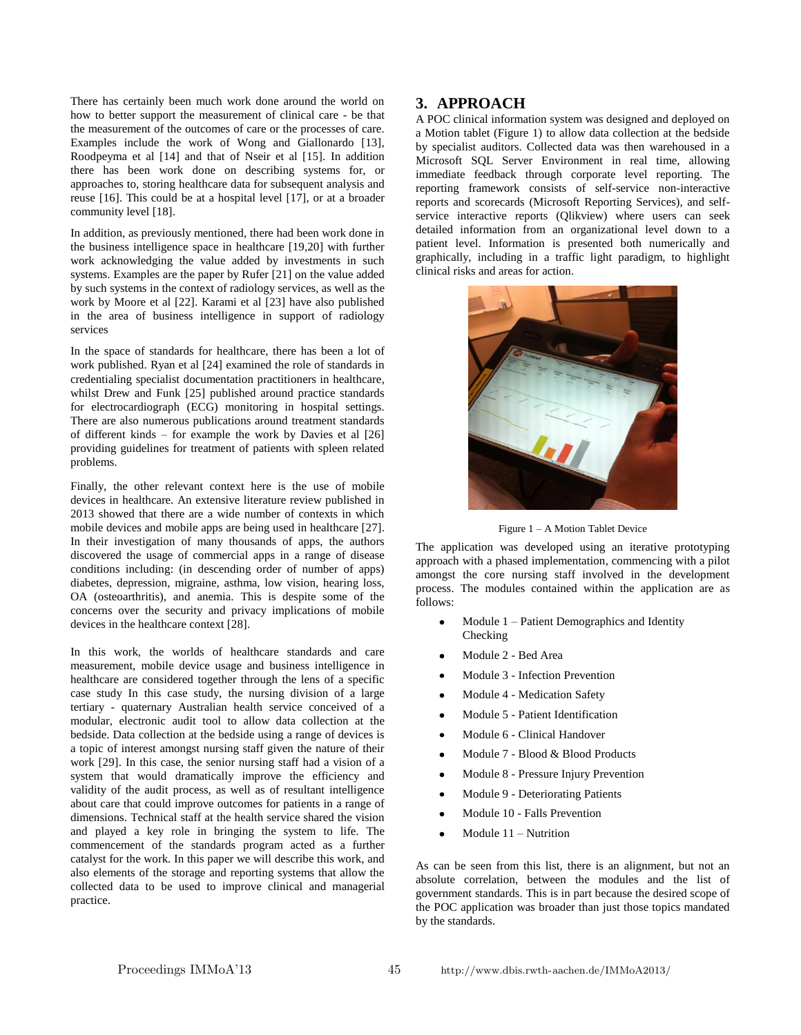There has certainly been much work done around the world on how to better support the measurement of clinical care - be that the measurement of the outcomes of care or the processes of care. Examples include the work of Wong and Giallonardo [13], Roodpeyma et al [14] and that of Nseir et al [15]. In addition there has been work done on describing systems for, or approaches to, storing healthcare data for subsequent analysis and reuse [16]. This could be at a hospital level [17], or at a broader community level [18].

In addition, as previously mentioned, there had been work done in the business intelligence space in healthcare [19,20] with further work acknowledging the value added by investments in such systems. Examples are the paper by Rufer [21] on the value added by such systems in the context of radiology services, as well as the work by Moore et al [22]. Karami et al [23] have also published in the area of business intelligence in support of radiology services

In the space of standards for healthcare, there has been a lot of work published. Ryan et al [24] examined the role of standards in credentialing specialist documentation practitioners in healthcare, whilst Drew and Funk [25] published around practice standards for electrocardiograph (ECG) monitoring in hospital settings. There are also numerous publications around treatment standards of different kinds – for example the work by Davies et al [26] providing guidelines for treatment of patients with spleen related problems.

Finally, the other relevant context here is the use of mobile devices in healthcare. An extensive literature review published in 2013 showed that there are a wide number of contexts in which mobile devices and mobile apps are being used in healthcare [27]. In their investigation of many thousands of apps, the authors discovered the usage of commercial apps in a range of disease conditions including: (in descending order of number of apps) diabetes, depression, migraine, asthma, low vision, hearing loss, OA (osteoarthritis), and anemia. This is despite some of the concerns over the security and privacy implications of mobile devices in the healthcare context [28].

In this work, the worlds of healthcare standards and care measurement, mobile device usage and business intelligence in healthcare are considered together through the lens of a specific case study In this case study, the nursing division of a large tertiary - quaternary Australian health service conceived of a modular, electronic audit tool to allow data collection at the bedside. Data collection at the bedside using a range of devices is a topic of interest amongst nursing staff given the nature of their work [29]. In this case, the senior nursing staff had a vision of a system that would dramatically improve the efficiency and validity of the audit process, as well as of resultant intelligence about care that could improve outcomes for patients in a range of dimensions. Technical staff at the health service shared the vision and played a key role in bringing the system to life. The commencement of the standards program acted as a further catalyst for the work. In this paper we will describe this work, and also elements of the storage and reporting systems that allow the collected data to be used to improve clinical and managerial practice.

## **3. APPROACH**

A POC clinical information system was designed and deployed on a Motion tablet (Figure 1) to allow data collection at the bedside by specialist auditors. Collected data was then warehoused in a Microsoft SQL Server Environment in real time, allowing immediate feedback through corporate level reporting. The reporting framework consists of self-service non-interactive reports and scorecards (Microsoft Reporting Services), and selfservice interactive reports (Qlikview) where users can seek detailed information from an organizational level down to a patient level. Information is presented both numerically and graphically, including in a traffic light paradigm, to highlight clinical risks and areas for action.



Figure 1 – A Motion Tablet Device

The application was developed using an iterative prototyping approach with a phased implementation, commencing with a pilot amongst the core nursing staff involved in the development process. The modules contained within the application are as follows:

- Module 1 Patient Demographics and Identity Checking
- Module 2 Bed Area
- Module 3 Infection Prevention
- Module 4 Medication Safety
- Module 5 Patient Identification
- Module 6 Clinical Handover
- Module 7 Blood & Blood Products
- Module 8 Pressure Injury Prevention
- Module 9 Deteriorating Patients
- Module 10 Falls Prevention
- Module 11 Nutrition

As can be seen from this list, there is an alignment, but not an absolute correlation, between the modules and the list of government standards. This is in part because the desired scope of the POC application was broader than just those topics mandated by the standards.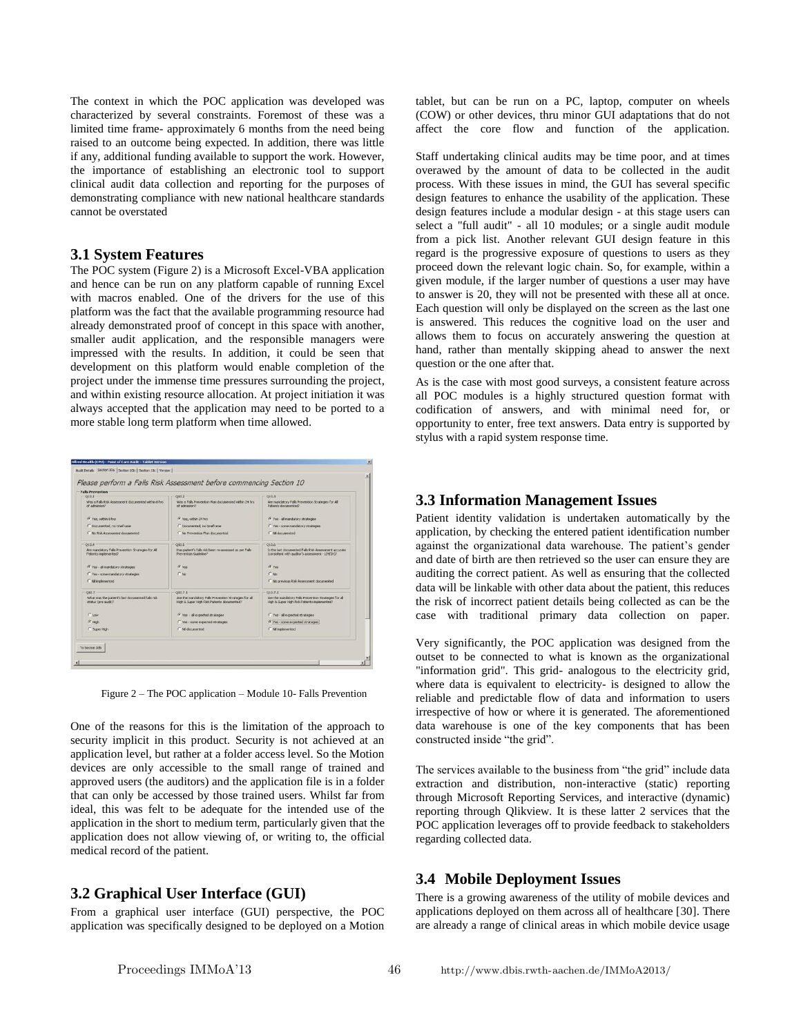The context in which the POC application was developed was characterized by several constraints. Foremost of these was a limited time frame- approximately 6 months from the need being raised to an outcome being expected. In addition, there was little if any, additional funding available to support the work. However, the importance of establishing an electronic tool to support clinical audit data collection and reporting for the purposes of demonstrating compliance with new national healthcare standards cannot be overstated

#### **3.1 System Features**

The POC system (Figure 2) is a Microsoft Excel-VBA application and hence can be run on any platform capable of running Excel with macros enabled. One of the drivers for the use of this platform was the fact that the available programming resource had already demonstrated proof of concept in this space with another, smaller audit application, and the responsible managers were impressed with the results. In addition, it could be seen that development on this platform would enable completion of the project under the immense time pressures surrounding the project, and within existing resource allocation. At project initiation it was always accepted that the application may need to be ported to a more stable long term platform when time allowed.

| <b>Falls Prevention</b>                                                    |                                                                                                      |                                                                                                                                                                                                                |  |  |
|----------------------------------------------------------------------------|------------------------------------------------------------------------------------------------------|----------------------------------------------------------------------------------------------------------------------------------------------------------------------------------------------------------------|--|--|
| 010.1                                                                      | 010.2                                                                                                | 018.3                                                                                                                                                                                                          |  |  |
| Was a Falls Risk Assessment documented vehicult hrs.<br>Gaussiahn by       | Was a Falls Prevention Plan documented within 24 hrs.<br>Genissimily, In                             | Are mandatory Falls Prevention Strategies for All<br>Patients documented?                                                                                                                                      |  |  |
| G Yes, within 8 hrs.                                                       | G Yes, within 24 hrs.                                                                                | G Yes - all mandatory strategies                                                                                                                                                                               |  |  |
| C Documented, no timeframe                                                 | C Documented, no timeframe                                                                           | C Yes - some mandatory strategies                                                                                                                                                                              |  |  |
| C No Risk Assessment documented                                            | C No Prevention Plan documented                                                                      | C. Mi documented<br>010.6<br>Is the last documented Falls Risk Assessment accurate.<br>(consistent with auditor's assessment - LIH/SHI?<br><b>G</b> Yes<br>$C$ No.<br>C No previous Risk Assessment documented |  |  |
| Q10.4                                                                      | Q10.5                                                                                                |                                                                                                                                                                                                                |  |  |
| Are mandatory Falls Prevention Strategies for All<br>Patients implemented? | Has patient's falls risk been re-assessed as per Falls<br>Prevention Guideline?                      |                                                                                                                                                                                                                |  |  |
| G Yes - all mandatory strategies                                           | G Yas                                                                                                |                                                                                                                                                                                                                |  |  |
| C Yes - some mandatory strategies                                          | $\cap$ No:                                                                                           |                                                                                                                                                                                                                |  |  |
| C. Ni inclemented                                                          |                                                                                                      |                                                                                                                                                                                                                |  |  |
| Q10.7                                                                      | 010.7.1                                                                                              | 010.7.2                                                                                                                                                                                                        |  |  |
| What was the patient's last documented falls risk.<br>status (pre-audit)?  | Are the mandatory Falls Prevention Strategies for all<br>High & Super High Risk Patients documented? | Are the mandatory Falls Prevention Strategies for all<br>High & Super High Risk Patients inclemented?                                                                                                          |  |  |
| $C$ Low                                                                    | G. Yes - all expected strategies                                                                     | C Yes - all expected strategies                                                                                                                                                                                |  |  |
| $G$ Hoh                                                                    | C Yes - some expected strategies                                                                     | (* Yes - some expected strategies)                                                                                                                                                                             |  |  |
| C Super High                                                               | C. Mi documented                                                                                     | C Ni implemented                                                                                                                                                                                               |  |  |

Figure 2 – The POC application – Module 10- Falls Prevention

One of the reasons for this is the limitation of the approach to security implicit in this product. Security is not achieved at an application level, but rather at a folder access level. So the Motion devices are only accessible to the small range of trained and approved users (the auditors) and the application file is in a folder that can only be accessed by those trained users. Whilst far from ideal, this was felt to be adequate for the intended use of the application in the short to medium term, particularly given that the application does not allow viewing of, or writing to, the official medical record of the patient.

## **3.2 Graphical User Interface (GUI)**

From a graphical user interface (GUI) perspective, the POC application was specifically designed to be deployed on a Motion tablet, but can be run on a PC, laptop, computer on wheels (COW) or other devices, thru minor GUI adaptations that do not affect the core flow and function of the application.

Staff undertaking clinical audits may be time poor, and at times overawed by the amount of data to be collected in the audit process. With these issues in mind, the GUI has several specific design features to enhance the usability of the application. These design features include a modular design - at this stage users can select a "full audit" - all 10 modules; or a single audit module from a pick list. Another relevant GUI design feature in this regard is the progressive exposure of questions to users as they proceed down the relevant logic chain. So, for example, within a given module, if the larger number of questions a user may have to answer is 20, they will not be presented with these all at once. Each question will only be displayed on the screen as the last one is answered. This reduces the cognitive load on the user and allows them to focus on accurately answering the question at hand, rather than mentally skipping ahead to answer the next question or the one after that.

As is the case with most good surveys, a consistent feature across all POC modules is a highly structured question format with codification of answers, and with minimal need for, or opportunity to enter, free text answers. Data entry is supported by stylus with a rapid system response time.

#### **3.3 Information Management Issues**

Patient identity validation is undertaken automatically by the application, by checking the entered patient identification number against the organizational data warehouse. The patient's gender and date of birth are then retrieved so the user can ensure they are auditing the correct patient. As well as ensuring that the collected data will be linkable with other data about the patient, this reduces the risk of incorrect patient details being collected as can be the case with traditional primary data collection on paper.

Very significantly, the POC application was designed from the outset to be connected to what is known as the organizational "information grid". This grid- analogous to the electricity grid, where data is equivalent to electricity- is designed to allow the reliable and predictable flow of data and information to users irrespective of how or where it is generated. The aforementioned data warehouse is one of the key components that has been constructed inside "the grid".

The services available to the business from "the grid" include data extraction and distribution, non-interactive (static) reporting through Microsoft Reporting Services, and interactive (dynamic) reporting through Qlikview. It is these latter 2 services that the POC application leverages off to provide feedback to stakeholders regarding collected data.

## **3.4 Mobile Deployment Issues**

There is a growing awareness of the utility of mobile devices and applications deployed on them across all of healthcare [30]. There are already a range of clinical areas in which mobile device usage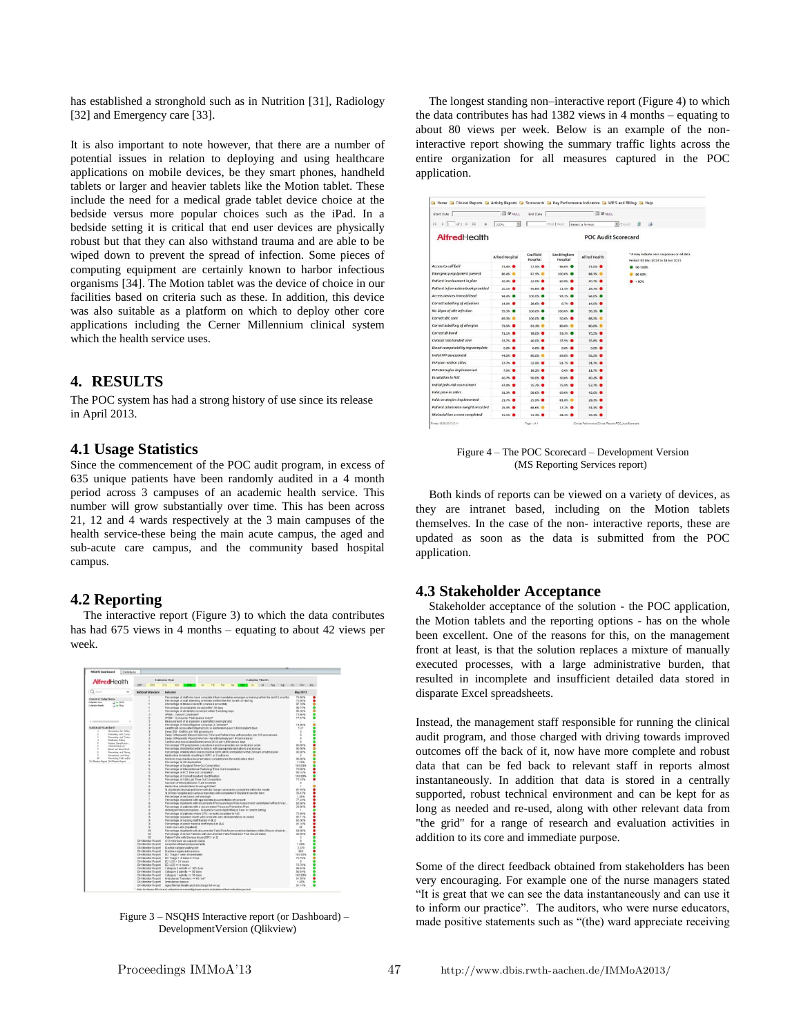has established a stronghold such as in Nutrition [31], Radiology [32] and Emergency care [33].

It is also important to note however, that there are a number of potential issues in relation to deploying and using healthcare applications on mobile devices, be they smart phones, handheld tablets or larger and heavier tablets like the Motion tablet. These include the need for a medical grade tablet device choice at the bedside versus more popular choices such as the iPad. In a bedside setting it is critical that end user devices are physically robust but that they can also withstand trauma and are able to be wiped down to prevent the spread of infection. Some pieces of computing equipment are certainly known to harbor infectious organisms [34]. The Motion tablet was the device of choice in our facilities based on criteria such as these. In addition, this device was also suitable as a platform on which to deploy other core applications including the Cerner Millennium clinical system which the health service uses.

## **4. RESULTS**

The POC system has had a strong history of use since its release in April 2013.

#### **4.1 Usage Statistics**

Since the commencement of the POC audit program, in excess of 635 unique patients have been randomly audited in a 4 month period across 3 campuses of an academic health service. This number will grow substantially over time. This has been across 21, 12 and 4 wards respectively at the 3 main campuses of the health service-these being the main acute campus, the aged and sub-acute care campus, and the community based hospital campus.

## **4.2 Reporting**

The interactive report (Figure 3) to which the data contributes has had 675 views in 4 months – equating to about 42 views per week.



Figure 3 – NSQHS Interactive report (or Dashboard) – DevelopmentVersion (Qlikview)

The longest standing non–interactive report (Figure 4) to which the data contributes has had 1382 views in 4 months – equating to about 80 views per week. Below is an example of the noninteractive report showing the summary traffic lights across the entire organization for all measures captured in the POC application.

| Start Date                        | <b>B</b> P NULL                        | <b>Frid Date</b>      |                         | <b>III</b> R NAL     |                                                                                   |
|-----------------------------------|----------------------------------------|-----------------------|-------------------------|----------------------|-----------------------------------------------------------------------------------|
| 14                                | $\overline{\mathbf{z}}$<br><b>hoos</b> |                       | Find   Next             | Select a format      | B Export<br>确<br>$\sigma$                                                         |
| AlfredHealth                      | <b>POC Audit Scorecard</b>             |                       |                         |                      |                                                                                   |
|                                   | <b>Alfred Hospital</b>                 | Caulfield<br>Hospital | Sandringham<br>Hospital | <b>Alfred Health</b> | * 0 may indicate zero responses or nil data<br>Period: 01 Mar 2013 to 18 Jun 2013 |
| Access to call bell               | 75.4% <sup>.</sup>                     | 77.5%                 | 95.6% <b>@</b>          | 77.0%                | 90-100%                                                                           |
| Emergency equipment present       | 86.4%                                  | 87.3% ®               | 100.0%                  | 88.1%                | 80-89%                                                                            |
| Patient involvement in plan.      | 40.4% <b>@</b>                         | 32.0% <b>O</b>        | 60.9% <b>O</b>          | 40.7%                | < 80%                                                                             |
| Patient information book provided | 20.1%                                  | 55.6%                 | 11.5%                   | 26.7%                |                                                                                   |
| Access devices immobilised        | 94.4%                                  | 100.0%                | 91.1%                   | 94.6%                |                                                                                   |
| Correct labelling of infusions    | 14.0%                                  | 28.6%                 | 6.7% ●                  | 14.0%                |                                                                                   |
| No Signs of site infection        | 95.3%                                  | 100.0% <b>O</b>       | 100.0%                  | 96.1%                |                                                                                   |
| Correct IDC care                  | 89.3%                                  | 100.0%                | <b>50.0% ®</b>          | 88,2%                |                                                                                   |
| Correct labelling of allergies    | 79.5% <b>@</b>                         | 83.5% @               | 80.0% ®                 | 80.6%                |                                                                                   |
| Correct ID band                   | 71.1%                                  | 78.0% <b>@</b>        | 93.9%                   | 75.5% <b>@</b>       |                                                                                   |
| Clinical risk handed over         | 33.7% ●                                | 40.0% <b>@</b>        | 37.9%                   | 15.8% <sup>6</sup>   |                                                                                   |
| Blood compatability tag complete  | $0.0\%$                                | $0.0\%$               | 0.011                   | $0.0\%$              |                                                                                   |
| Intial PIP assessment             | 44.0%                                  | 80.0%                 | 69.0%                   | 56,2%                |                                                                                   |
| PIP plan within 24hrs             | 27.7%                                  | 32.9%                 | 51.7%                   | 31.7%                |                                                                                   |
| PIP strategies implemented        | 7.9%                                   | 18.2% <sup>®</sup>    | G.ON .                  | 11.7%                |                                                                                   |
| <b>Fyralation to NIC</b>          | $40.75 - 4$                            | $50.0\%$              | 50.0% <sup>6</sup>      | 40.2%                |                                                                                   |
| Initial fails risk assessment     | 47.0%                                  | 75.7%                 | 75.9% <b>@</b>          | 57.7% <sup>®</sup>   |                                                                                   |
| Falls plan in 24hrs               | 11.8%                                  | SR.GN.                | <b>69.0% @</b>          | 42.6% <b>B</b>       |                                                                                   |
| Falls strategies implemented      | 21.7%                                  | 25.9%                 | 81.8%                   | 28.3%                |                                                                                   |
| Patient admission weight recorded | 25.3%                                  | <b>BRANCH</b>         | 17.2%                   | 41.1%                |                                                                                   |
| Malnutrition screen completed     | 15.1%                                  | 74.3%                 | 48.3N <sup>®</sup>      | 34,3%                |                                                                                   |

Figure 4 – The POC Scorecard – Development Version (MS Reporting Services report)

Both kinds of reports can be viewed on a variety of devices, as they are intranet based, including on the Motion tablets themselves. In the case of the non- interactive reports, these are updated as soon as the data is submitted from the POC application.

## **4.3 Stakeholder Acceptance**

Stakeholder acceptance of the solution - the POC application, the Motion tablets and the reporting options - has on the whole been excellent. One of the reasons for this, on the management front at least, is that the solution replaces a mixture of manually executed processes, with a large administrative burden, that resulted in incomplete and insufficient detailed data stored in disparate Excel spreadsheets.

Instead, the management staff responsible for running the clinical audit program, and those charged with driving towards improved outcomes off the back of it, now have more complete and robust data that can be fed back to relevant staff in reports almost instantaneously. In addition that data is stored in a centrally supported, robust technical environment and can be kept for as long as needed and re-used, along with other relevant data from "the grid" for a range of research and evaluation activities in addition to its core and immediate purpose.

Some of the direct feedback obtained from stakeholders has been very encouraging. For example one of the nurse managers stated "It is great that we can see the data instantaneously and can use it to inform our practice". The auditors, who were nurse educators, made positive statements such as "(the) ward appreciate receiving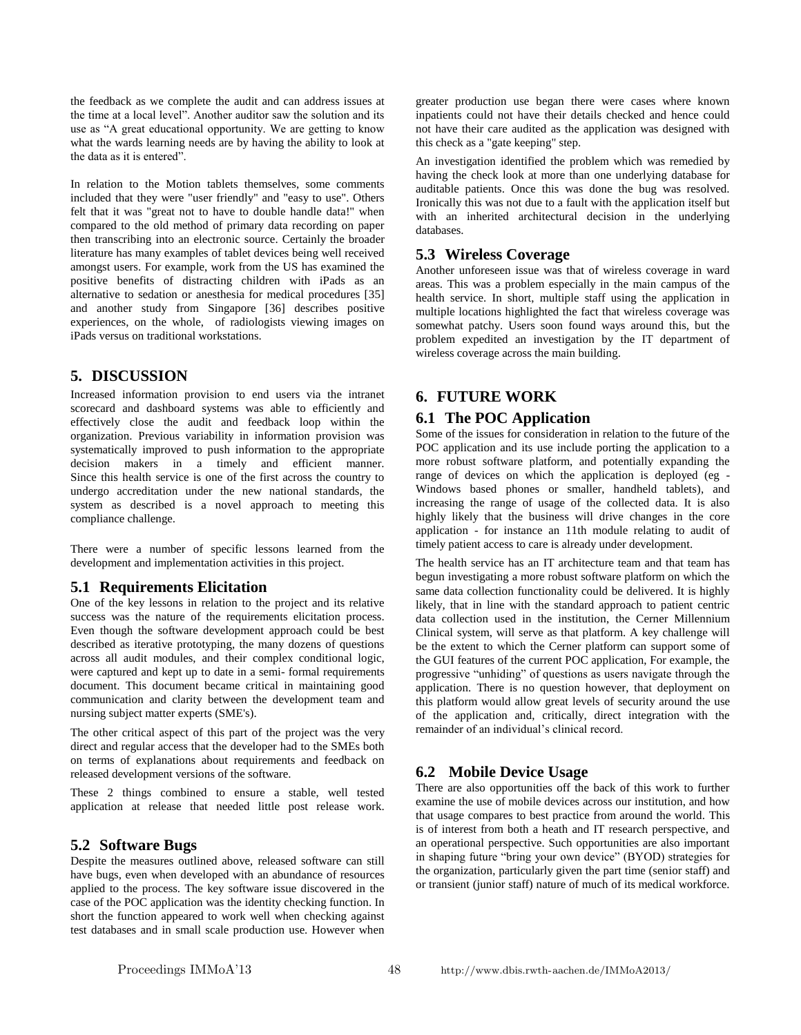the feedback as we complete the audit and can address issues at the time at a local level". Another auditor saw the solution and its use as "A great educational opportunity. We are getting to know what the wards learning needs are by having the ability to look at the data as it is entered".

In relation to the Motion tablets themselves, some comments included that they were "user friendly" and "easy to use". Others felt that it was "great not to have to double handle data!" when compared to the old method of primary data recording on paper then transcribing into an electronic source. Certainly the broader literature has many examples of tablet devices being well received amongst users. For example, work from the US has examined the positive benefits of distracting children with iPads as an alternative to sedation or anesthesia for medical procedures [35] and another study from Singapore [36] describes positive experiences, on the whole, of radiologists viewing images on iPads versus on traditional workstations.

## **5. DISCUSSION**

Increased information provision to end users via the intranet scorecard and dashboard systems was able to efficiently and effectively close the audit and feedback loop within the organization. Previous variability in information provision was systematically improved to push information to the appropriate decision makers in a timely and efficient manner. Since this health service is one of the first across the country to undergo accreditation under the new national standards, the system as described is a novel approach to meeting this compliance challenge.

There were a number of specific lessons learned from the development and implementation activities in this project.

## **5.1 Requirements Elicitation**

One of the key lessons in relation to the project and its relative success was the nature of the requirements elicitation process. Even though the software development approach could be best described as iterative prototyping, the many dozens of questions across all audit modules, and their complex conditional logic, were captured and kept up to date in a semi- formal requirements document. This document became critical in maintaining good communication and clarity between the development team and nursing subject matter experts (SME's).

The other critical aspect of this part of the project was the very direct and regular access that the developer had to the SMEs both on terms of explanations about requirements and feedback on released development versions of the software.

These 2 things combined to ensure a stable, well tested application at release that needed little post release work.

#### **5.2 Software Bugs**

Despite the measures outlined above, released software can still have bugs, even when developed with an abundance of resources applied to the process. The key software issue discovered in the case of the POC application was the identity checking function. In short the function appeared to work well when checking against test databases and in small scale production use. However when

greater production use began there were cases where known inpatients could not have their details checked and hence could not have their care audited as the application was designed with this check as a "gate keeping" step.

An investigation identified the problem which was remedied by having the check look at more than one underlying database for auditable patients. Once this was done the bug was resolved. Ironically this was not due to a fault with the application itself but with an inherited architectural decision in the underlying databases.

#### **5.3 Wireless Coverage**

Another unforeseen issue was that of wireless coverage in ward areas. This was a problem especially in the main campus of the health service. In short, multiple staff using the application in multiple locations highlighted the fact that wireless coverage was somewhat patchy. Users soon found ways around this, but the problem expedited an investigation by the IT department of wireless coverage across the main building.

# **6. FUTURE WORK**

#### **6.1 The POC Application**

Some of the issues for consideration in relation to the future of the POC application and its use include porting the application to a more robust software platform, and potentially expanding the range of devices on which the application is deployed (eg - Windows based phones or smaller, handheld tablets), and increasing the range of usage of the collected data. It is also highly likely that the business will drive changes in the core application - for instance an 11th module relating to audit of timely patient access to care is already under development.

The health service has an IT architecture team and that team has begun investigating a more robust software platform on which the same data collection functionality could be delivered. It is highly likely, that in line with the standard approach to patient centric data collection used in the institution, the Cerner Millennium Clinical system, will serve as that platform. A key challenge will be the extent to which the Cerner platform can support some of the GUI features of the current POC application, For example, the progressive "unhiding" of questions as users navigate through the application. There is no question however, that deployment on this platform would allow great levels of security around the use of the application and, critically, direct integration with the remainder of an individual"s clinical record.

#### **6.2 Mobile Device Usage**

There are also opportunities off the back of this work to further examine the use of mobile devices across our institution, and how that usage compares to best practice from around the world. This is of interest from both a heath and IT research perspective, and an operational perspective. Such opportunities are also important in shaping future "bring your own device" (BYOD) strategies for the organization, particularly given the part time (senior staff) and or transient (junior staff) nature of much of its medical workforce.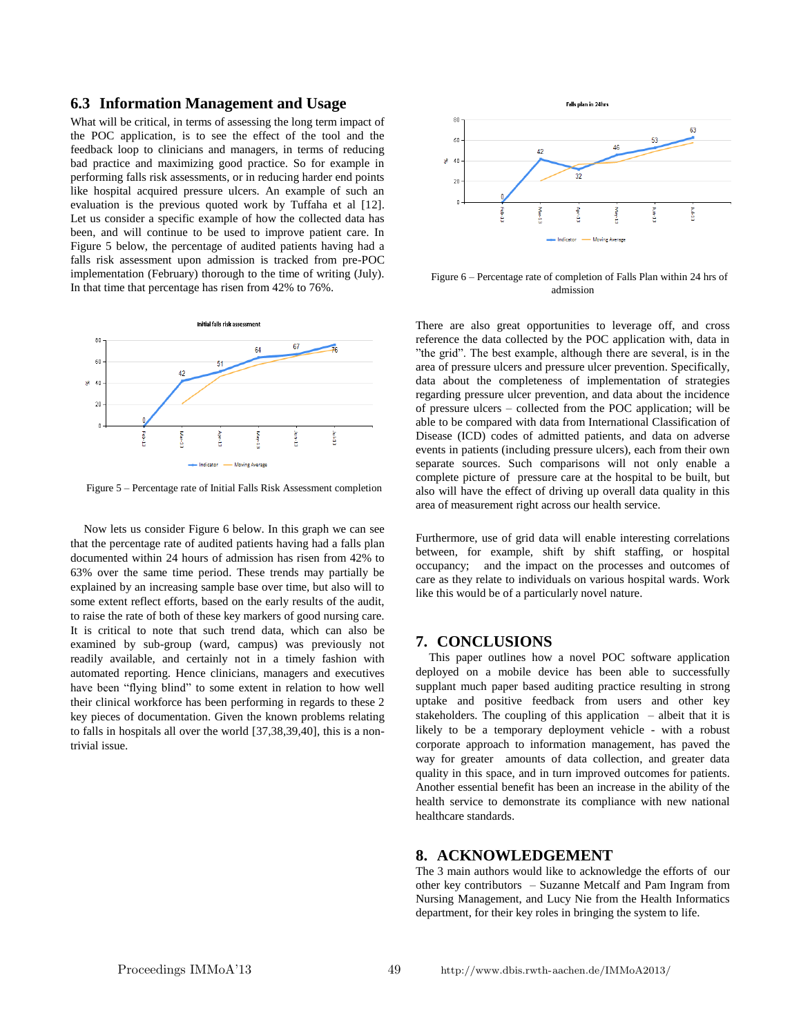#### **6.3 Information Management and Usage**

What will be critical, in terms of assessing the long term impact of the POC application, is to see the effect of the tool and the feedback loop to clinicians and managers, in terms of reducing bad practice and maximizing good practice. So for example in performing falls risk assessments, or in reducing harder end points like hospital acquired pressure ulcers. An example of such an evaluation is the previous quoted work by Tuffaha et al [12]. Let us consider a specific example of how the collected data has been, and will continue to be used to improve patient care. In Figure 5 below, the percentage of audited patients having had a falls risk assessment upon admission is tracked from pre-POC implementation (February) thorough to the time of writing (July). In that time that percentage has risen from 42% to 76%.



Figure 5 – Percentage rate of Initial Falls Risk Assessment completion

Now lets us consider Figure 6 below. In this graph we can see that the percentage rate of audited patients having had a falls plan documented within 24 hours of admission has risen from 42% to 63% over the same time period. These trends may partially be explained by an increasing sample base over time, but also will to some extent reflect efforts, based on the early results of the audit, to raise the rate of both of these key markers of good nursing care. It is critical to note that such trend data, which can also be examined by sub-group (ward, campus) was previously not readily available, and certainly not in a timely fashion with automated reporting. Hence clinicians, managers and executives have been "flying blind" to some extent in relation to how well their clinical workforce has been performing in regards to these 2 key pieces of documentation. Given the known problems relating to falls in hospitals all over the world [37,38,39,40], this is a nontrivial issue.



Figure 6 – Percentage rate of completion of Falls Plan within 24 hrs of admission

There are also great opportunities to leverage off, and cross reference the data collected by the POC application with, data in "the grid". The best example, although there are several, is in the area of pressure ulcers and pressure ulcer prevention. Specifically, data about the completeness of implementation of strategies regarding pressure ulcer prevention, and data about the incidence of pressure ulcers – collected from the POC application; will be able to be compared with data from International Classification of Disease (ICD) codes of admitted patients, and data on adverse events in patients (including pressure ulcers), each from their own separate sources. Such comparisons will not only enable a complete picture of pressure care at the hospital to be built, but also will have the effect of driving up overall data quality in this area of measurement right across our health service.

Furthermore, use of grid data will enable interesting correlations between, for example, shift by shift staffing, or hospital occupancy; and the impact on the processes and outcomes of care as they relate to individuals on various hospital wards. Work like this would be of a particularly novel nature.

#### **7. CONCLUSIONS**

This paper outlines how a novel POC software application deployed on a mobile device has been able to successfully supplant much paper based auditing practice resulting in strong uptake and positive feedback from users and other key stakeholders. The coupling of this application – albeit that it is likely to be a temporary deployment vehicle - with a robust corporate approach to information management, has paved the way for greater amounts of data collection, and greater data quality in this space, and in turn improved outcomes for patients. Another essential benefit has been an increase in the ability of the health service to demonstrate its compliance with new national healthcare standards.

## **8. ACKNOWLEDGEMENT**

The 3 main authors would like to acknowledge the efforts of our other key contributors – Suzanne Metcalf and Pam Ingram from Nursing Management, and Lucy Nie from the Health Informatics department, for their key roles in bringing the system to life.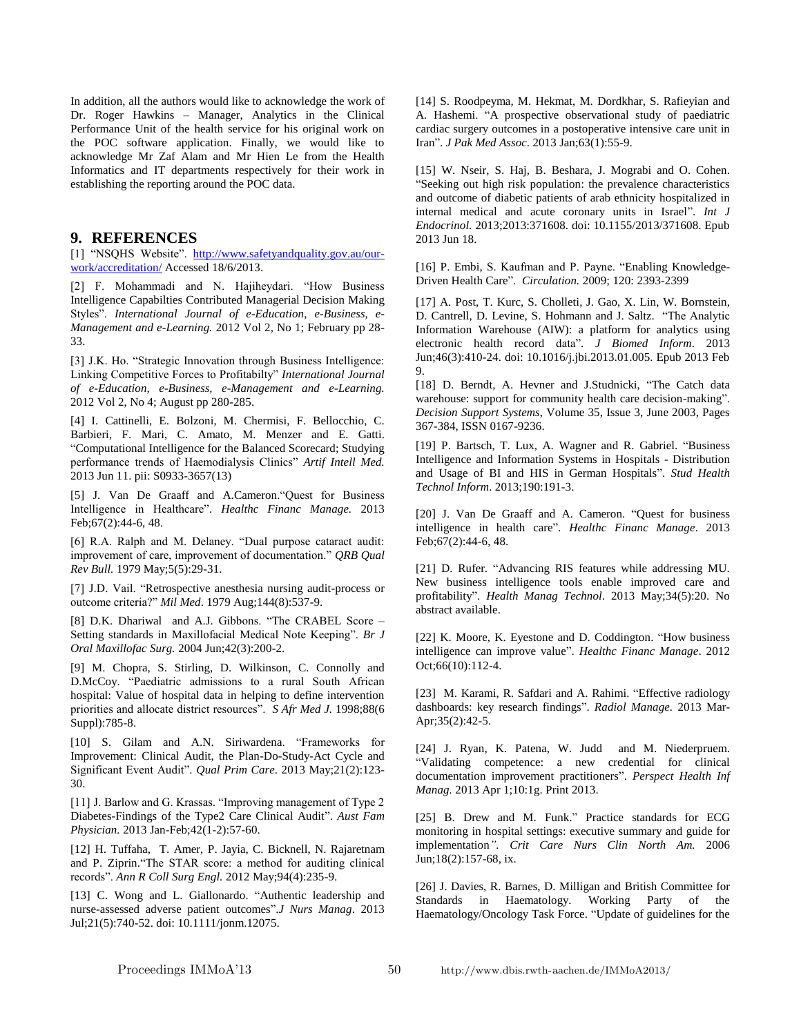In addition, all the authors would like to acknowledge the work of Dr. Roger Hawkins – Manager, Analytics in the Clinical Performance Unit of the health service for his original work on the POC software application. Finally, we would like to acknowledge Mr Zaf Alam and Mr Hien Le from the Health Informatics and IT departments respectively for their work in establishing the reporting around the POC data.

## **9. REFERENCES**

[1] "NSQHS Website". http://www.safetyandquality.gov.au/ourwork/accreditation/ Accessed 18/6/2013.

[2] F. Mohammadi and N. Hajiheydari. "How Business Intelligence Capabilties Contributed Managerial Decision Making Styles". *International Journal of e-Education, e-Business, e-Management and e-Learning.* 2012 Vol 2, No 1; February pp 28- 33.

[3] J.K. Ho. "Strategic Innovation through Business Intelligence: Linking Competitive Forces to Profitabilty" *International Journal of e-Education, e-Business, e-Management and e-Learning.*  2012 Vol 2, No 4; August pp 280-285.

[4] I. Cattinelli, E. Bolzoni, M. Chermisi, F. Bellocchio, C. Barbieri, F. Mari, C. Amato, M. Menzer and E. Gatti. "Computational Intelligence for the Balanced Scorecard; Studying performance trends of Haemodialysis Clinics" *Artif Intell Med.* 2013 Jun 11. pii: S0933-3657(13)

[5] J. Van De Graaff and A.Cameron."Quest for Business Intelligence in Healthcare". *Healthc Financ Manage.* 2013 Feb;67(2):44-6, 48.

[6] R.A. Ralph and M. Delaney. "Dual purpose cataract audit: improvement of care, improvement of documentation." *QRB Qual Rev Bull.* 1979 May;5(5):29-31.

[7] J.D. Vail. "Retrospective anesthesia nursing audit-process or outcome criteria?" *Mil Med*. 1979 Aug;144(8):537-9.

[8] D.K. Dhariwal and A.J. Gibbons. "The CRABEL Score – Setting standards in Maxillofacial Medical Note Keeping". *Br J Oral Maxillofac Surg.* 2004 Jun;42(3):200-2.

[9] M. Chopra, S. Stirling, D. Wilkinson, C. Connolly and D.McCoy. "Paediatric admissions to a rural South African hospital: Value of hospital data in helping to define intervention priorities and allocate district resources". *S Afr Med J.* 1998;88(6 Suppl):785-8.

[10] S. Gilam and A.N. Siriwardena. "Frameworks for Improvement: Clinical Audit, the Plan-Do-Study-Act Cycle and Significant Event Audit". *Qual Prim Care*. 2013 May;21(2):123- 30.

[11] J. Barlow and G. Krassas. "Improving management of Type 2 Diabetes-Findings of the Type2 Care Clinical Audit". *Aust Fam Physician.* 2013 Jan-Feb;42(1-2):57-60.

[12] H. Tuffaha, T. Amer, P. Jayia, C. Bicknell, N. Rajaretnam and P. Ziprin."The STAR score: a method for auditing clinical records". *Ann R Coll Surg Engl.* 2012 May;94(4):235-9.

[13] C. Wong and L. Giallonardo. "Authentic leadership and nurse-assessed adverse patient outcomes".*J Nurs Manag*. 2013 Jul;21(5):740-52. doi: 10.1111/jonm.12075.

[14] S. Roodpeyma, M. Hekmat, M. Dordkhar, S. Rafieyian and A. Hashemi. "A prospective observational study of paediatric cardiac surgery outcomes in a postoperative intensive care unit in Iran". *J Pak Med Assoc*. 2013 Jan;63(1):55-9.

[15] W. Nseir, S. Haj, B. Beshara, J. Mograbi and O. Cohen. "Seeking out high risk population: the prevalence characteristics and outcome of diabetic patients of arab ethnicity hospitalized in internal medical and acute coronary units in Israel". *Int J Endocrinol.* 2013;2013:371608. doi: 10.1155/2013/371608. Epub 2013 Jun 18.

[16] P. Embi, S. Kaufman and P. Payne. "Enabling Knowledge-Driven Health Care". *Circulation.* 2009; 120: 2393-2399

[17] A. Post, T. Kurc, S. Cholleti, J. Gao, X. Lin, W. Bornstein, D. Cantrell, D. Levine, S. Hohmann and J. Saltz. "The Analytic Information Warehouse (AIW): a platform for analytics using electronic health record data". *J Biomed Inform*. 2013 Jun;46(3):410-24. doi: 10.1016/j.jbi.2013.01.005. Epub 2013 Feb 9.

[18] D. Berndt, A. Hevner and J.Studnicki, "The Catch data warehouse: support for community health care decision-making". *Decision Support Systems*, Volume 35, Issue 3, June 2003, Pages 367-384, ISSN 0167-9236.

[19] P. Bartsch, T. Lux, A. Wagner and R. Gabriel. "Business" Intelligence and Information Systems in Hospitals - Distribution and Usage of BI and HIS in German Hospitals". *Stud Health Technol Inform*. 2013;190:191-3.

[20] J. Van De Graaff and A. Cameron. "Ouest for business intelligence in health care". *Healthc Financ Manage*. 2013 Feb;67(2):44-6, 48.

[21] D. Rufer. "Advancing RIS features while addressing MU. New business intelligence tools enable improved care and profitability". *Health Manag Technol*. 2013 May;34(5):20. No abstract available.

[22] K. Moore, K. Eyestone and D. Coddington. "How business intelligence can improve value". *Healthc Financ Manage*. 2012 Oct;66(10):112-4.

[23] M. Karami, R. Safdari and A. Rahimi. "Effective radiology dashboards: key research findings". *Radiol Manage.* 2013 Mar-Apr;35(2):42-5.

[24] J. Ryan, K. Patena, W. Judd and M. Niederpruem. "Validating competence: a new credential for clinical documentation improvement practitioners". *Perspect Health Inf Manag.* 2013 Apr 1;10:1g. Print 2013.

[25] B. Drew and M. Funk." Practice standards for ECG monitoring in hospital settings: executive summary and guide for implementation*". Crit Care Nurs Clin North Am.* 2006 Jun;18(2):157-68, ix.

[26] J. Davies, R. Barnes, D. Milligan and British Committee for Standards in Haematology. Working Party of the Haematology/Oncology Task Force. "Update of guidelines for the